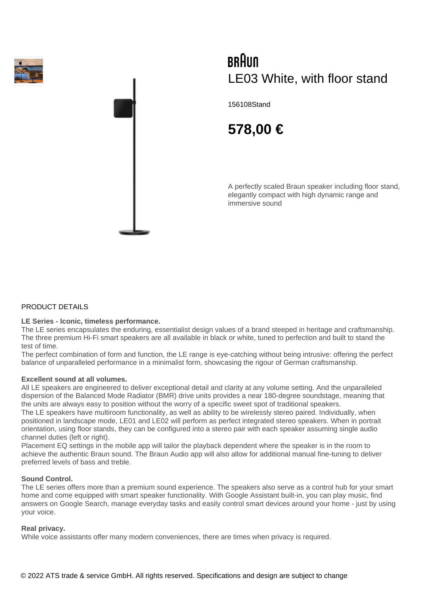



# BRAUN LE03 White, with floor stand

156108Stand

# **578,00 €**

A perfectly scaled Braun speaker including floor stand, elegantly compact with high dynamic range and immersive sound

# PRODUCT DETAILS

# **LE Series - Iconic, timeless performance.**

The LE series encapsulates the enduring, essentialist design values of a brand steeped in heritage and craftsmanship. The three premium Hi-Fi smart speakers are all available in black or white, tuned to perfection and built to stand the test of time.

The perfect combination of form and function, the LE range is eye-catching without being intrusive: offering the perfect balance of unparalleled performance in a minimalist form, showcasing the rigour of German craftsmanship.

#### **Excellent sound at all volumes.**

All LE speakers are engineered to deliver exceptional detail and clarity at any volume setting. And the unparalleled dispersion of the Balanced Mode Radiator (BMR) drive units provides a near 180-degree soundstage, meaning that the units are always easy to position without the worry of a specific sweet spot of traditional speakers.

The LE speakers have multiroom functionality, as well as ability to be wirelessly stereo paired. Individually, when positioned in landscape mode, LE01 and LE02 will perform as perfect integrated stereo speakers. When in portrait orientation, using floor stands, they can be configured into a stereo pair with each speaker assuming single audio channel duties (left or right).

Placement EQ settings in the mobile app will tailor the playback dependent where the speaker is in the room to achieve the authentic Braun sound. The Braun Audio app will also allow for additional manual fine-tuning to deliver preferred levels of bass and treble.

#### **Sound Control.**

The LE series offers more than a premium sound experience. The speakers also serve as a control hub for your smart home and come equipped with smart speaker functionality. With Google Assistant built-in, you can play music, find answers on Google Search, manage everyday tasks and easily control smart devices around your home - just by using your voice.

# **Real privacy.**

While voice assistants offer many modern conveniences, there are times when privacy is required.